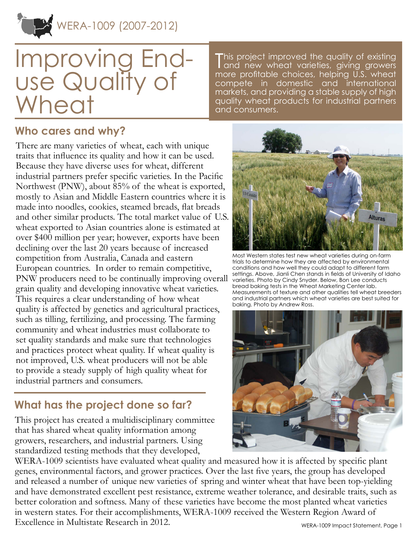

# Improving Enduse Quality of Wheat

This project improved the quality of existing<br>Tand new wheat varieties, giving growers I and new wheat varieties, giving growers more profitable choices, helping U.S. wheat compete in domestic and international markets, and providing a stable supply of high quality wheat products for industrial partners and consumers.

#### **Who cares and why?**

There are many varieties of wheat, each with unique traits that influence its quality and how it can be used. Because they have diverse uses for wheat, different industrial partners prefer specific varieties. In the Pacific Northwest (PNW), about 85% of the wheat is exported, mostly to Asian and Middle Eastern countries where it is made into noodles, cookies, steamed breads, flat breads and other similar products. The total market value of U.S. wheat exported to Asian countries alone is estimated at over \$400 million per year; however, exports have been declining over the last 20 years because of increased competition from Australia, Canada and eastern European countries. In order to remain competitive, PNW producers need to be continually improving overall grain quality and developing innovative wheat varieties. This requires a clear understanding of how wheat quality is affected by genetics and agricultural practices, such as tilling, fertilizing, and processing. The farming community and wheat industries must collaborate to set quality standards and make sure that technologies and practices protect wheat quality. If wheat quality is not improved, U.S. wheat producers will not be able to provide a steady supply of high quality wheat for industrial partners and consumers.

## **What has the project done so far?**

This project has created a multidisciplinary committee that has shared wheat quality information among growers, researchers, and industrial partners. Using standardized testing methods that they developed,



Most Western states test new wheat varieties during on-farm trials to determine how they are affected by environmental conditions and how well they could adapt to different farm settings. Above, Jianli Chen stands in fields of University of Idaho varieties. Photo by Cindy Snyder. Below, Bon Lee conducts bread baking tests in the Wheat Marketing Center lab. Measurements of texture and other qualities tell wheat breeders and industrial partners which wheat varieties are best suited for baking. Photo by Andrew Ross.



WERA-1009 scientists have evaluated wheat quality and measured how it is affected by specific plant genes, environmental factors, and grower practices. Over the last five years, the group has developed and released a number of unique new varieties of spring and winter wheat that have been top-yielding and have demonstrated excellent pest resistance, extreme weather tolerance, and desirable traits, such as better coloration and softness. Many of these varieties have become the most planted wheat varieties in western states. For their accomplishments, WERA-1009 received the Western Region Award of Excellence in Multistate Research in 2012.